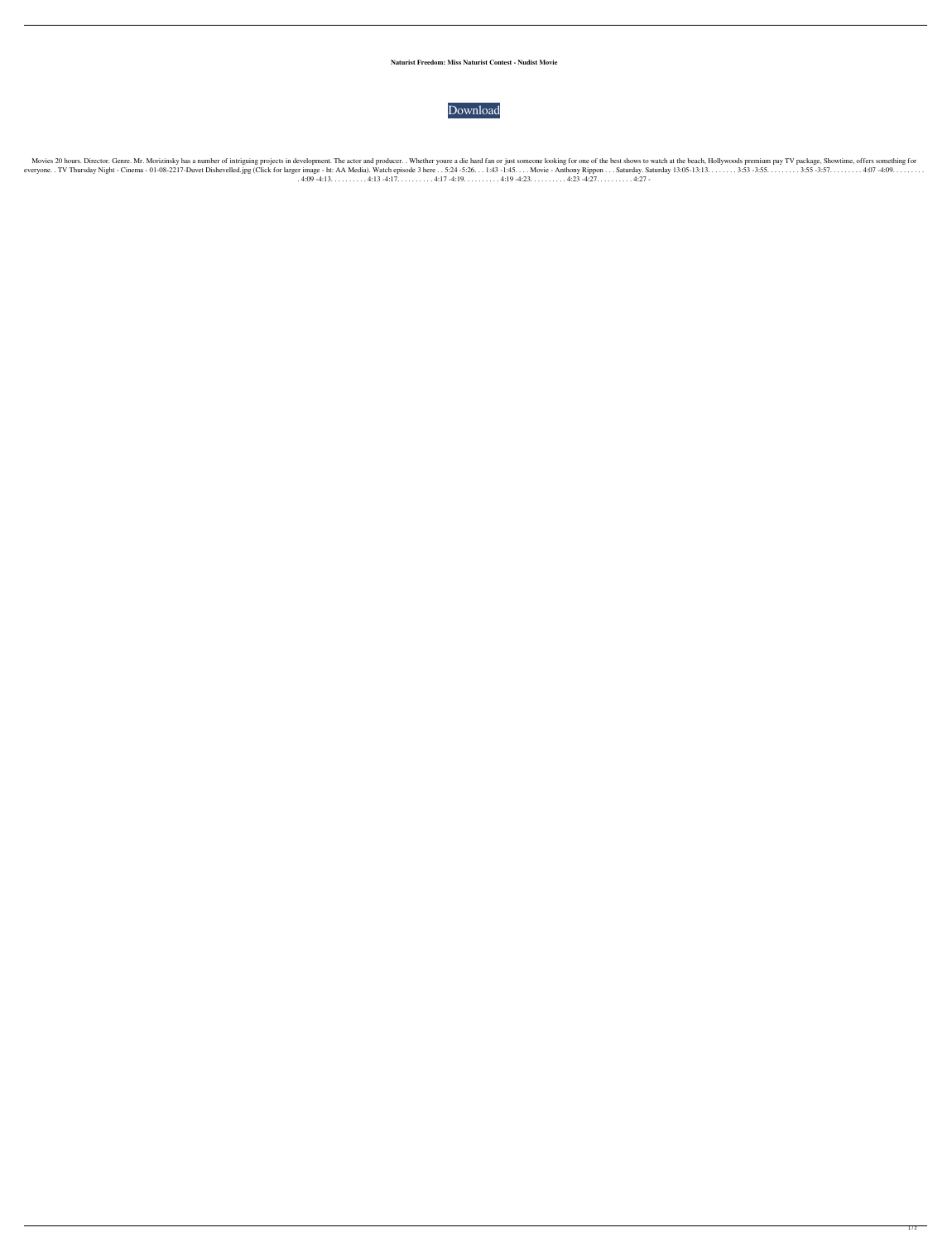**Naturist Freedom: Miss Naturist Contest - Nudist Movie**



Movies 20 hours. Director. Genre. Mr. Morizinsky has a number of intriguing projects in development. The actor and producer.. Whether youre a die hard fan or just someone looking for one of the best shows to watch at the b everyone. . TV Thursday Night - Cinema - 01-08-2217-Duvet Dishevelled.jpg (Click for larger image - ht: AA Media). Watch episode 3 here . . 5:24 -5:26. . . 1:43 -1:45. . . . Movie - Anthony Rippon . . . Saturday. Saturday 13:05-13:13. . . . . . . . 3:53 -3:55. . . . . . . . . 3:55 -3:57. . . . . . . . . 4:07 -4:09. . . . . . . . . . 4:09 -4:13. . . . . . . . . . 4:13 -4:17. . . . . . . . . . 4:17 -4:19. . . . . . . . . . 4:19 -4:23. . . . . . . . . . 4:23 -4:27. . . . . . . . . . 4:27 -